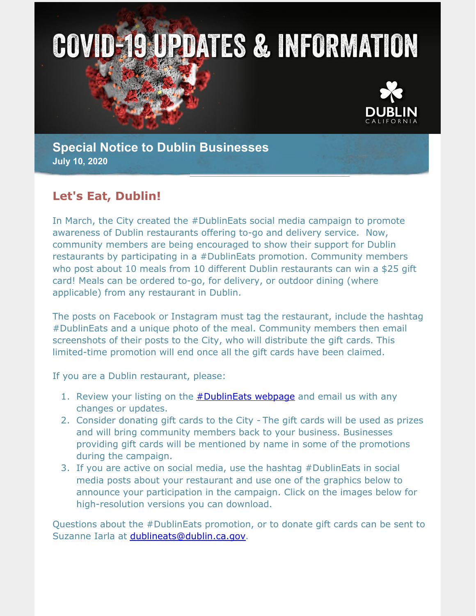



**Special Notice to Dublin Businesses July 10, 2020**

## **Let's Eat, Dublin!**

In March, the City created the #DublinEats social media campaign to promote awareness of Dublin restaurants offering to-go and delivery service. Now, community members are being encouraged to show their support for Dublin restaurants by participating in a #DublinEats promotion. Community members who post about 10 meals from 10 different Dublin restaurants can win a \$25 gift card! Meals can be ordered to-go, for delivery, or outdoor dining (where applicable) from any restaurant in Dublin.

The posts on Facebook or Instagram must tag the restaurant, include the hashtag #DublinEats and a unique photo of the meal. Community members then email screenshots of their posts to the City, who will distribute the gift cards. This limited-time promotion will end once all the gift cards have been claimed.

If you are a Dublin restaurant, please:

- 1. Review your listing on the **[#DublinEats](https://dublin.ca.gov/2181/DublinEats) webpage** and email us with any changes or updates.
- 2. Consider donating gift cards to the City The gift cards will be used as prizes and will bring community members back to your business. Businesses providing gift cards will be mentioned by name in some of the promotions during the campaign.
- 3. If you are active on social media, use the hashtag #DublinEats in social media posts about your restaurant and use one of the graphics below to announce your participation in the campaign. Click on the images below for high-resolution versions you can download.

Questions about the #DublinEats promotion, or to donate gift cards can be sent to Suzanne Iarla at [dublineats@dublin.ca.gov](mailto:dublineats@dublin.ca.gov).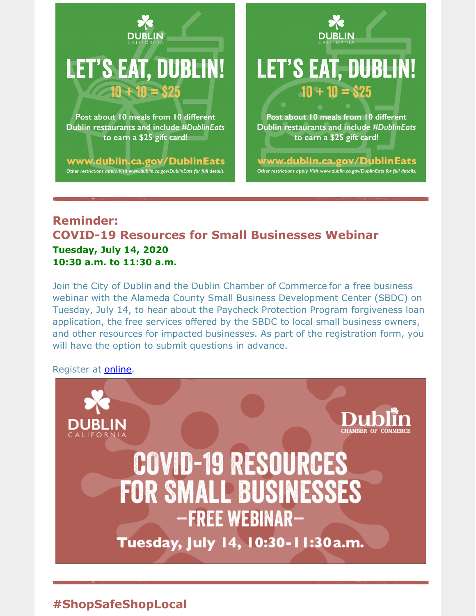

www.dublin.ca.gov/DublinEats Other restrictions apply. Visit www.dublin.ca.gov/DublinEats for full details.

**DUBLIN LET'S EAT, DUBLIN!** 

Post about 10 meals from 10 different Dublin restaurants and include #DublinEats to earn a \$25 gift card!

 $10 + 10 = $25$ 

www.dublin.ca.gov/DublinEats Other restrictions apply. Visit www.dublin.ca.gov/DublinEats for full details.

#### **Reminder: COVID-19 Resources for Small Businesses Webinar Tuesday, July 14, 2020 10:30 a.m. to 11:30 a.m.**

Join the City of Dublin and the Dublin Chamber of Commerce for a free business webinar with the Alameda County Small Business Development Center (SBDC) on Tuesday, July 14, to hear about the Paycheck Protection Program forgiveness loan application, the free services offered by the SBDC to local small business owners, and other resources for impacted businesses. As part of the registration form, you will have the option to submit questions in advance.

Register at [online](https://dublinca.zoom.us/webinar/register/WN_59mLmHHFRKS_4hRPgm-NsA).



# **#ShopSafeShopLocal**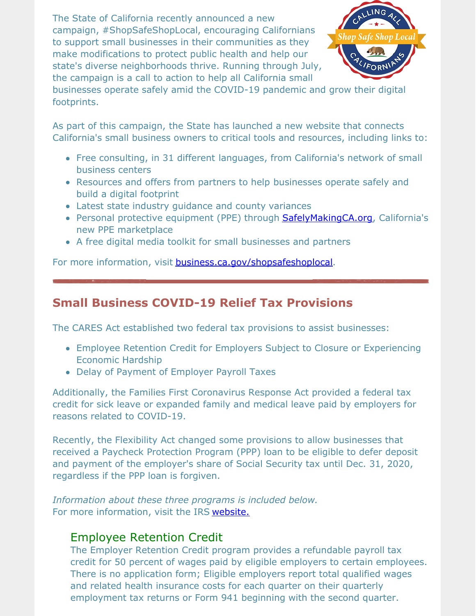The State of California recently announced a new campaign, #ShopSafeShopLocal, encouraging Californians to support small businesses in their communities as they make modifications to protect public health and help our state's diverse neighborhoods thrive. Running through July, the campaign is a call to action to help all California small



businesses operate safely amid the COVID-19 pandemic and grow their digital footprints.

As part of this campaign, the State has launched a new website that connects California's small business owners to critical tools and resources, including links to:

- Free consulting, in 31 different languages, from California's network of small business centers
- Resources and offers from partners to help businesses operate safely and build a digital footprint
- Latest state industry guidance and county variances
- Personal protective equipment (PPE) through **[SafelyMakingCA.org](https://www.safelymakingca.org/)**, California's new PPE marketplace
- A free digital media toolkit for small businesses and partners

For more information, visit **[business.ca.gov/shopsafeshoplocal](https://business.ca.gov/shopsafeshoplocal/)**.

## **Small Business COVID-19 Relief Tax Provisions**

The CARES Act established two federal tax provisions to assist businesses:

- Employee Retention Credit for Employers Subject to Closure or Experiencing Economic Hardship
- Delay of Payment of Employer Payroll Taxes

Additionally, the Families First Coronavirus Response Act provided a federal tax credit for sick leave or expanded family and medical leave paid by employers for reasons related to COVID-19.

Recently, the Flexibility Act changed some provisions to allow businesses that received a Paycheck Protection Program (PPP) loan to be eligible to defer deposit and payment of the employer's share of Social Security tax until Dec. 31, 2020, regardless if the PPP loan is forgiven.

*Information about these three programs is included below.* For more information, visit the IRS [website.](https://www.irs.gov/newsroom/covid-19-related-tax-credits-general-information-faqs)

#### Employee Retention Credit

The Employer Retention Credit program provides a refundable payroll tax credit for 50 percent of wages paid by eligible employers to certain employees. There is no application form; Eligible employers report total qualified wages and related health insurance costs for each quarter on their quarterly employment tax returns or Form 941 beginning with the second quarter.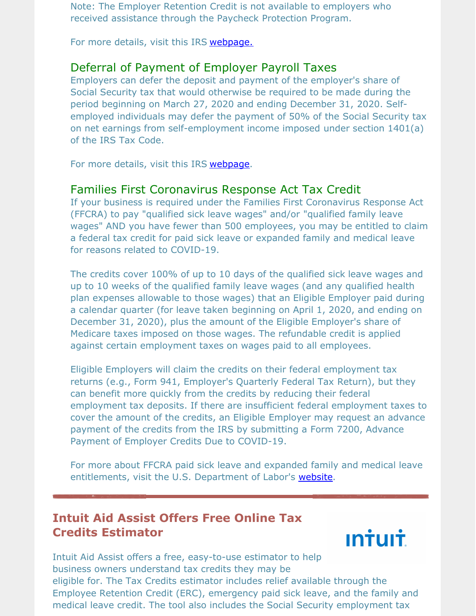Note: The Employer Retention Credit is not available to employers who received assistance through the Paycheck Protection Program.

For more details, visit this IRS [webpage.](https://www.irs.gov/coronavirus/employee-retention-credit)

#### Deferral of Payment of Employer Payroll Taxes

Employers can defer the deposit and payment of the employer's share of Social Security tax that would otherwise be required to be made during the period beginning on March 27, 2020 and ending December 31, 2020. Selfemployed individuals may defer the payment of 50% of the Social Security tax on net earnings from self-employment income imposed under section 1401(a) of the IRS Tax Code.

For more details, visit this IRS [webpage](https://www.irs.gov/newsroom/deferral-of-employment-tax-deposits-and-payments-through-december-31-2020).

#### Families First Coronavirus Response Act Tax Credit

If your business is required under the Families First Coronavirus Response Act (FFCRA) to pay "qualified sick leave wages" and/or "qualified family leave wages" AND you have fewer than 500 employees, you may be entitled to claim a federal tax credit for paid sick leave or expanded family and medical leave for reasons related to COVID-19.

The credits cover 100% of up to 10 days of the qualified sick leave wages and up to 10 weeks of the qualified family leave wages (and any qualified health plan expenses allowable to those wages) that an Eligible Employer paid during a calendar quarter (for leave taken beginning on April 1, 2020, and ending on December 31, 2020), plus the amount of the Eligible Employer's share of Medicare taxes imposed on those wages. The refundable credit is applied against certain employment taxes on wages paid to all employees.

Eligible Employers will claim the credits on their federal employment tax returns (e.g., Form 941, Employer's Quarterly Federal Tax Return), but they can benefit more quickly from the credits by reducing their federal employment tax deposits. If there are insufficient federal employment taxes to cover the amount of the credits, an Eligible Employer may request an advance payment of the credits from the IRS by submitting a Form 7200, Advance Payment of Employer Credits Due to COVID-19.

For more about FFCRA paid sick leave and expanded family and medical leave entitlements, visit the U.S. Department of Labor's [website](https://www.dol.gov/agencies/whd/pandemic).

## **Intuit Aid Assist Offers Free Online Tax Credits Estimator**



Intuit Aid Assist offers a free, easy-to-use estimator to help business owners understand tax credits they may be eligible for. The Tax Credits estimator includes relief available through the Employee Retention Credit (ERC), emergency paid sick leave, and the family and medical leave credit. The tool also includes the Social Security employment tax